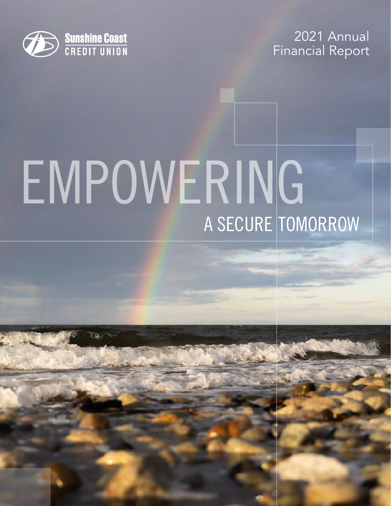

2021 Annual Financial Report

# EMPOWERING A SECURE TOMORROW

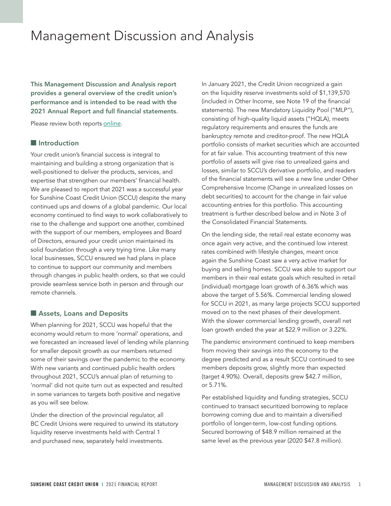### Management Discussion and Analysis

This Management Discussion and Analysis report provides a general overview of the credit union's performance and is intended to be read with the 2021 Annual Report and full financial statements.

Please review both reports [online](http://sunshineccu.com/Annual-Report).

#### **n** Introduction

Your credit union's financial success is integral to maintaining and building a strong organization that is well-positioned to deliver the products, services, and expertise that strengthen our members' financial health. We are pleased to report that 2021 was a successful year for Sunshine Coast Credit Union (SCCU) despite the many continued ups and downs of a global pandemic. Our local economy continued to find ways to work collaboratively to rise to the challenge and support one another, combined with the support of our members, employees and Board of Directors, ensured your credit union maintained its solid foundation through a very trying time. Like many local businesses, SCCU ensured we had plans in place to continue to support our community and members through changes in public health orders, so that we could provide seamless service both in person and through our remote channels.

#### Assets, Loans and Deposits

When planning for 2021, SCCU was hopeful that the economy would return to more 'normal' operations, and we forecasted an increased level of lending while planning for smaller deposit growth as our members returned some of their savings over the pandemic to the economy. With new variants and continued public health orders throughout 2021, SCCU's annual plan of returning to 'normal' did not quite turn out as expected and resulted in some variances to targets both positive and negative as you will see below.

Under the direction of the provincial regulator, all BC Credit Unions were required to unwind its statutory liquidity reserve investments held with Central 1 and purchased new, separately held investments.

In January 2021, the Credit Union recognized a gain on the liquidity reserve investments sold of \$1,139,570 (included in Other Income, see Note 19 of the financial statements). The new Mandatory Liquidity Pool ("MLP"), consisting of high-quality liquid assets ("HQLA), meets regulatory requirements and ensures the funds are bankruptcy remote and creditor-proof. The new HQLA portfolio consists of market securities which are accounted for at fair value. This accounting treatment of this new portfolio of assets will give rise to unrealized gains and losses, similar to SCCU's derivative portfolio, and readers of the financial statements will see a new line under Other Comprehensive Income (Change in unrealized losses on debt securities) to account for the change in fair value accounting entries for this portfolio. This accounting treatment is further described below and in Note 3 of the Consolidated Financial Statements.

On the lending side, the retail real estate economy was once again very active, and the continued low interest rates combined with lifestyle changes, meant once again the Sunshine Coast saw a very active market for buying and selling homes. SCCU was able to support our members in their real estate goals which resulted in retail (individual) mortgage loan growth of 6.36% which was above the target of 5.56%. Commercial lending slowed for SCCU in 2021, as many large projects SCCU supported moved on to the next phases of their development. With the slower commercial lending growth, overall net loan growth ended the year at \$22.9 million or 3.22%.

The pandemic environment continued to keep members from moving their savings into the economy to the degree predicted and as a result SCCU continued to see members deposits grow, slightly more than expected (target 4.90%). Overall, deposits grew \$42.7 million, or 5.71%.

Per established liquidity and funding strategies, SCCU continued to transact securitized borrowing to replace borrowing coming due and to maintain a diversified portfolio of longer-term, low-cost funding options. Secured borrowing of \$48.9 million remained at the same level as the previous year (2020 \$47.8 million).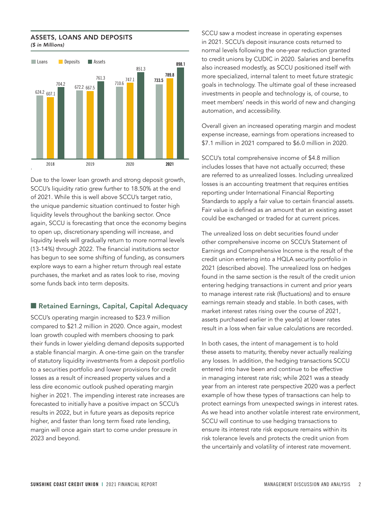#### ASSETS, LOANS AND DEPOSITS **ASSETS, LOANS AND DEPOSITS** *(\$ in Millions)*



Due to the lower loan growth and strong deposit growth, SCCU's liquidity ratio grew further to 18.50% at the end of 2021. While this is well above SCCU's target ratio, the unique pandemic situation continued to foster high liquidity levels throughout the banking sector. Once again, SCCU is forecasting that once the economy begins to open up, discretionary spending will increase, and liquidity levels will gradually return to more normal levels (13-14%) through 2022. The financial institutions sector has begun to see some shifting of funding, as consumers explore ways to earn a higher return through real estate purchases, the market and as rates look to rise, moving some funds back into term deposits.

#### ■ Retained Earnings, Capital, Capital Adequacy

SCCU's operating margin increased to \$23.9 million compared to \$21.2 million in 2020. Once again, modest loan growth coupled with members choosing to park their funds in lower yielding demand deposits supported a stable financial margin. A one-time gain on the transfer of statutory liquidity investments from a deposit portfolio to a securities portfolio and lower provisions for credit losses as a result of increased property values and a less dire economic outlook pushed operating margin higher in 2021. The impending interest rate increases are forecasted to initially have a positive impact on SCCU's results in 2022, but in future years as deposits reprice higher, and faster than long term fixed rate lending, margin will once again start to come under pressure in 2023 and beyond.

SCCU saw a modest increase in operating expenses in 2021. SCCU's deposit insurance costs returned to normal levels following the one-year reduction granted to credit unions by CUDIC in 2020. Salaries and benefits also increased modestly, as SCCU positioned itself with more specialized, internal talent to meet future strategic goals in technology. The ultimate goal of these increased investments in people and technology is, of course, to meet members' needs in this world of new and changing automation, and accessibility.

Overall given an increased operating margin and modest expense increase, earnings from operations increased to \$7.1 million in 2021 compared to \$6.0 million in 2020.

SCCU's total comprehensive income of \$4.8 million includes losses that have not actually occurred; these are referred to as unrealized losses. Including unrealized losses is an accounting treatment that requires entities reporting under International Financial Reporting Standards to apply a fair value to certain financial assets. Fair value is defined as an amount that an existing asset could be exchanged or traded for at current prices.

The unrealized loss on debt securities found under other comprehensive income on SCCU's Statement of Earnings and Comprehensive Income is the result of the credit union entering into a HQLA security portfolio in 2021 (described above). The unrealized loss on hedges found in the same section is the result of the credit union entering hedging transactions in current and prior years to manage interest rate risk (fluctuations) and to ensure earnings remain steady and stable. In both cases, with market interest rates rising over the course of 2021, assets purchased earlier in the year(s) at lower rates result in a loss when fair value calculations are recorded.

In both cases, the intent of management is to hold these assets to maturity, thereby never actually realizing any losses. In addition, the hedging transactions SCCU entered into have been and continue to be effective in managing interest rate risk; while 2021 was a steady year from an interest rate perspective 2020 was a perfect example of how these types of transactions can help to protect earnings from unexpected swings in interest rates. As we head into another volatile interest rate environment, SCCU will continue to use hedging transactions to ensure its interest rate risk exposure remains within its risk tolerance levels and protects the credit union from the uncertainly and volatility of interest rate movement.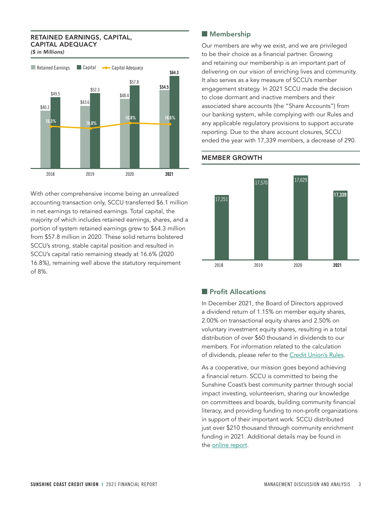#### RETAINED EARNINGS, CAPITAL, **RETAINED EARNINGS, CAPITAL, CAPITAL ADEQUACY** CAPITAL ADEQUACY

*(\$ in Millions)* (\$ in Millions)



With other comprehensive income being an unrealized accounting transaction only, SCCU transferred \$6.1 million in net earnings to retained earnings. Total capital, the majority of which includes retained earnings, shares, and a portion of system retained earnings grew to \$64.3 million from \$57.8 million in 2020. These solid returns bolstered SCCU's strong, stable capital position and resulted in SCCU's capital ratio remaining steady at 16.6% (2020 16.8%), remaining well above the statutory requirement of 8%.

#### **Membership**

Our members are why we exist, and we are privileged to be their choice as a financial partner. Growing and retaining our membership is an important part of delivering on our vision of enriching lives and community. It also serves as a key measure of SCCU's member engagement strategy. In 2021 SCCU made the decision to close dormant and inactive members and their associated share accounts (the "Share Accounts") from our banking system, while complying with our Rules and any applicable regulatory provisions to support accurate reporting. Due to the share account closures, SCCU ended the year with 17,339 members, a decrease of 290.



#### MEMBER GROWTH

#### **n** Profit Allocations

In December 2021, the Board of Directors approved a dividend return of 1.15% on member equity shares, 2.00% on transactional equity shares and 2.50% on voluntary investment equity shares, resulting in a total distribution of over \$60 thousand in dividends to our members. For information related to the calculation of dividends, please refer to the [Credit Union's Rules](https://online.sunshineccu.com/SharedContent/Forms/SunshineCoastCreditUnionRules2018.pdf).

As a cooperative, our mission goes beyond achieving a financial return. SCCU is committed to being the Sunshine Coast's best community partner through social impact investing, volunteerism, sharing our knowledge on committees and boards, building community financial literacy, and providing funding to non-profit organizations in support of their important work. SCCU distributed just over \$210 thousand through community enrichment funding in 2021. Additional details may be found in the [online report](http://sunshineccu.com/Annual-Report).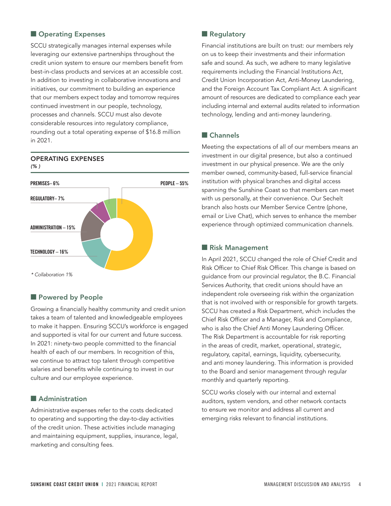#### **n** Operating Expenses

SCCU strategically manages internal expenses while leveraging our extensive partnerships throughout the credit union system to ensure our members benefit from best-in-class products and services at an accessible cost. In addition to investing in collaborative innovations and initiatives, our commitment to building an experience that our members expect today and tomorrow requires continued investment in our people, technology, processes and channels. SCCU must also devote considerable resources into regulatory compliance,<br>http://www.html rounding out a total operating expense of \$16.8 million in 2021.

## **TECHNOLOGY – 16% ADMINISTRATION – 15% REGULATORY– 7% PREMISES– 6%** *\* Collaboration 1%* **PEOPLE – 55%**

#### OPERATING EXPENSES **OPERATING EXPENSES** *(% )* (%)

#### **N** Powered by People

Growing a financially healthy community and credit union takes a team of talented and knowledgeable employees to make it happen. Ensuring SCCU's workforce is engaged and supported is vital for our current and future success. In 2021: ninety-two people committed to the financial health of each of our members. In recognition of this, we continue to attract top talent through competitive salaries and benefits while continuing to invest in our culture and our employee experience.

#### Administration

Administrative expenses refer to the costs dedicated to operating and supporting the day-to-day activities of the credit union. These activities include managing and maintaining equipment, supplies, insurance, legal, marketing and consulting fees.

#### **Regulatory**

Financial institutions are built on trust: our members rely on us to keep their investments and their information safe and sound. As such, we adhere to many legislative requirements including the Financial Institutions Act, Credit Union Incorporation Act, Anti-Money Laundering, and the Foreign Account Tax Compliant Act. A significant amount of resources are dedicated to compliance each year including internal and external audits related to information technology, lending and anti-money laundering.

#### $\blacksquare$  Channels

Meeting the expectations of all of our members means an investment in our digital presence, but also a continued investment in our physical presence. We are the only member owned, community-based, full-service financial institution with physical branches and digital access spanning the Sunshine Coast so that members can meet with us personally, at their convenience. Our Sechelt branch also hosts our Member Service Centre (phone, email or Live Chat), which serves to enhance the member experience through optimized communication channels.

#### **Risk Management**

In April 2021, SCCU changed the role of Chief Credit and Risk Officer to Chief Risk Officer. This change is based on guidance from our provincial regulator, the B.C. Financial Services Authority, that credit unions should have an independent role overseeing risk within the organization that is not involved with or responsible for growth targets. SCCU has created a Risk Department, which includes the Chief Risk Officer and a Manager, Risk and Compliance, who is also the Chief Anti Money Laundering Officer. The Risk Department is accountable for risk reporting in the areas of credit, market, operational, strategic, regulatory, capital, earnings, liquidity, cybersecurity, and anti money laundering. This information is provided to the Board and senior management through regular monthly and quarterly reporting.

SCCU works closely with our internal and external auditors, system vendors, and other network contacts to ensure we monitor and address all current and emerging risks relevant to financial institutions.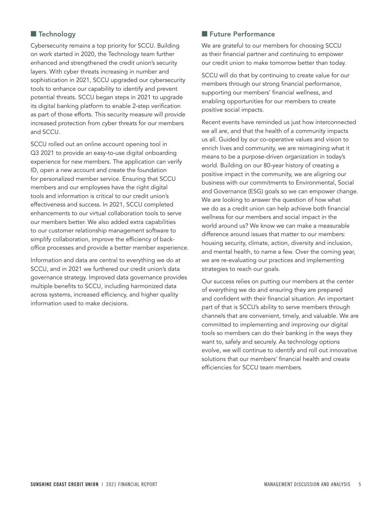#### **n** Technology

Cybersecurity remains a top priority for SCCU. Building on work started in 2020, the Technology team further enhanced and strengthened the credit union's security layers. With cyber threats increasing in number and sophistication in 2021, SCCU upgraded our cybersecurity tools to enhance our capability to identify and prevent potential threats. SCCU began steps in 2021 to upgrade its digital banking platform to enable 2-step verification as part of those efforts. This security measure will provide increased protection from cyber threats for our members and SCCU.

SCCU rolled out an online account opening tool in Q3 2021 to provide an easy-to-use digital onboarding experience for new members. The application can verify ID, open a new account and create the foundation for personalized member service. Ensuring that SCCU members and our employees have the right digital tools and information is critical to our credit union's effectiveness and success. In 2021, SCCU completed enhancements to our virtual collaboration tools to serve our members better. We also added extra capabilities to our customer relationship management software to simplify collaboration, improve the efficiency of backoffice processes and provide a better member experience.

Information and data are central to everything we do at SCCU, and in 2021 we furthered our credit union's data governance strategy. Improved data governance provides multiple benefits to SCCU, including harmonized data across systems, increased efficiency, and higher quality information used to make decisions.

#### **Future Performance**

We are grateful to our members for choosing SCCU as their financial partner and continuing to empower our credit union to make tomorrow better than today.

SCCU will do that by continuing to create value for our members through our strong financial performance, supporting our members' financial wellness, and enabling opportunities for our members to create positive social impacts.

Recent events have reminded us just how interconnected we all are, and that the health of a community impacts us all. Guided by our co-operative values and vision to enrich lives and community, we are reimagining what it means to be a purpose-driven organization in today's world. Building on our 80-year history of creating a positive impact in the community, we are aligning our business with our commitments to Environmental, Social and Governance (ESG) goals so we can empower change. We are looking to answer the question of how what we do as a credit union can help achieve both financial wellness for our members and social impact in the world around us? We know we can make a measurable difference around issues that matter to our members: housing security, climate, action, diversity and inclusion, and mental health, to name a few. Over the coming year, we are re-evaluating our practices and implementing strategies to reach our goals.

Our success relies on putting our members at the center of everything we do and ensuring they are prepared and confident with their financial situation. An important part of that is SCCU's ability to serve members through channels that are convenient, timely, and valuable. We are committed to implementing and improving our digital tools so members can do their banking in the ways they want to, safely and securely. As technology options evolve, we will continue to identify and roll out innovative solutions that our members' financial health and create efficiencies for SCCU team members.